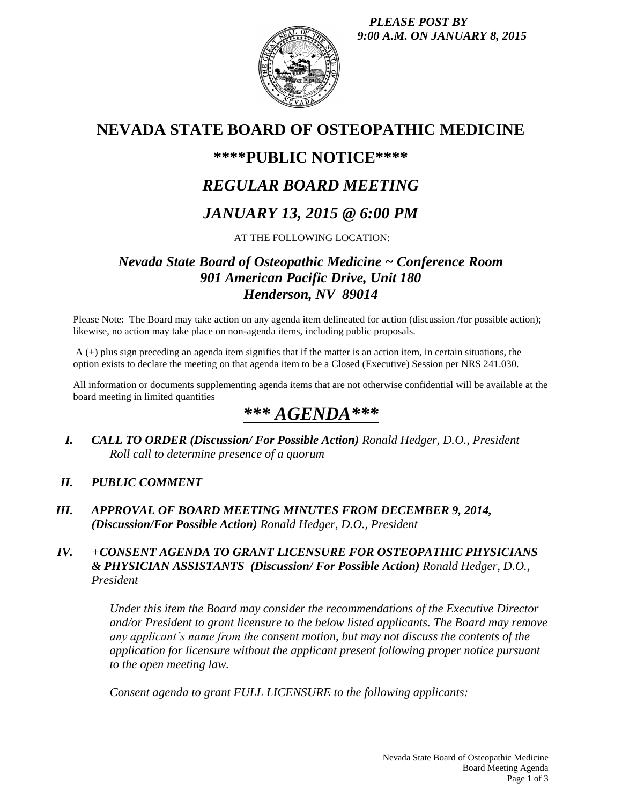

## **NEVADA STATE BOARD OF OSTEOPATHIC MEDICINE**

## **\*\*\*\*PUBLIC NOTICE\*\*\*\***

## *REGULAR BOARD MEETING*

## *JANUARY 13, 2015 @ 6:00 PM*

### AT THE FOLLOWING LOCATION:

## *Nevada State Board of Osteopathic Medicine ~ Conference Room 901 American Pacific Drive, Unit 180 Henderson, NV 89014*

Please Note: The Board may take action on any agenda item delineated for action (discussion /for possible action); likewise, no action may take place on non-agenda items, including public proposals.

A (+) plus sign preceding an agenda item signifies that if the matter is an action item, in certain situations, the option exists to declare the meeting on that agenda item to be a Closed (Executive) Session per NRS 241.030.

All information or documents supplementing agenda items that are not otherwise confidential will be available at the board meeting in limited quantities

# *\*\*\* AGENDA\*\*\**

*I. CALL TO ORDER (Discussion/ For Possible Action) Ronald Hedger, D.O., President Roll call to determine presence of a quorum*

#### *II. PUBLIC COMMENT*

*III. APPROVAL OF BOARD MEETING MINUTES FROM DECEMBER 9, 2014, (Discussion/For Possible Action) Ronald Hedger, D.O., President*

#### *IV. +CONSENT AGENDA TO GRANT LICENSURE FOR OSTEOPATHIC PHYSICIANS & PHYSICIAN ASSISTANTS (Discussion/ For Possible Action) Ronald Hedger, D.O., President*

*Under this item the Board may consider the recommendations of the Executive Director and/or President to grant licensure to the below listed applicants. The Board may remove any applicant's name from the consent motion, but may not discuss the contents of the application for licensure without the applicant present following proper notice pursuant to the open meeting law.* 

*Consent agenda to grant FULL LICENSURE to the following applicants:*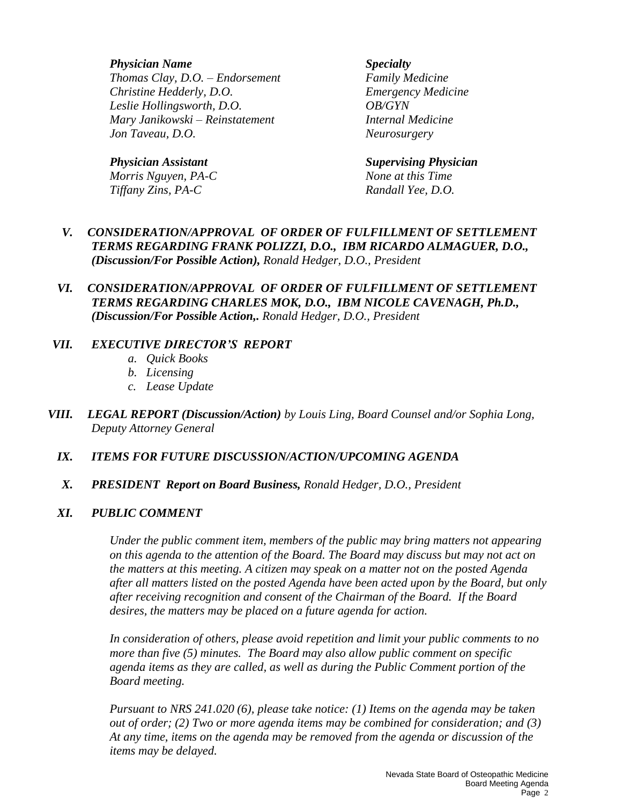*Physician Name Specialty*

*Thomas Clay, D.O. – Endorsement Family Medicine Christine Hedderly, D.O. Emergency Medicine Leslie Hollingsworth, D.O. OB/GYN Mary Janikowski – Reinstatement Internal Medicine Jon Taveau, D.O. Neurosurgery*

*Morris Nguyen, PA-C None at this Time Tiffany Zins, PA-C Randall Yee, D.O.*

*Physician Assistant Supervising Physician*

#### *V. CONSIDERATION/APPROVAL OF ORDER OF FULFILLMENT OF SETTLEMENT TERMS REGARDING FRANK POLIZZI, D.O., IBM RICARDO ALMAGUER, D.O., (Discussion/For Possible Action), Ronald Hedger, D.O., President*

#### *VI. CONSIDERATION/APPROVAL OF ORDER OF FULFILLMENT OF SETTLEMENT TERMS REGARDING CHARLES MOK, D.O., IBM NICOLE CAVENAGH, Ph.D., (Discussion/For Possible Action,. Ronald Hedger, D.O., President*

#### *VII. EXECUTIVE DIRECTOR'S REPORT*

- *a. Quick Books*
- *b. Licensing*
- *c. Lease Update*
- *VIII. LEGAL REPORT (Discussion/Action) by Louis Ling, Board Counsel and/or Sophia Long, Deputy Attorney General* 
	- *IX. ITEMS FOR FUTURE DISCUSSION/ACTION/UPCOMING AGENDA*
	- *X. PRESIDENT Report on Board Business, Ronald Hedger, D.O., President*

#### *XI. PUBLIC COMMENT*

*Under the public comment item, members of the public may bring matters not appearing on this agenda to the attention of the Board. The Board may discuss but may not act on the matters at this meeting. A citizen may speak on a matter not on the posted Agenda after all matters listed on the posted Agenda have been acted upon by the Board, but only after receiving recognition and consent of the Chairman of the Board. If the Board desires, the matters may be placed on a future agenda for action.*

*In consideration of others, please avoid repetition and limit your public comments to no more than five (5) minutes. The Board may also allow public comment on specific agenda items as they are called, as well as during the Public Comment portion of the Board meeting.* 

*Pursuant to NRS 241.020 (6), please take notice: (1) Items on the agenda may be taken out of order; (2) Two or more agenda items may be combined for consideration; and (3) At any time, items on the agenda may be removed from the agenda or discussion of the items may be delayed.*